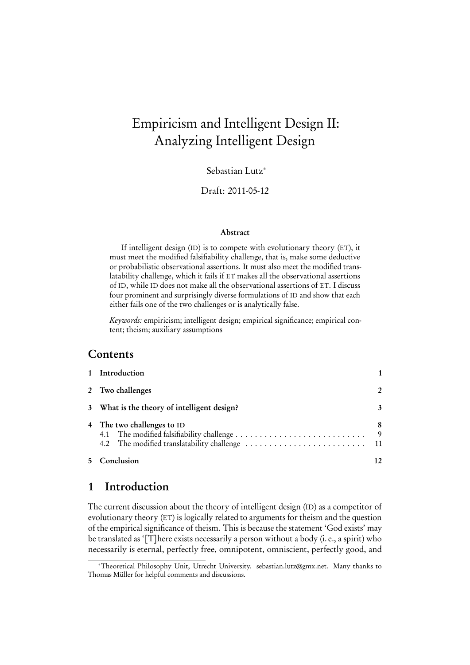# Empiricism and Intelligent Design II: Analyzing Intelligent Design

Sebastian Lutz<sup>∗</sup>

#### Draft: 2011-05-12

#### Abstract

If intelligent design (ID) is to compete with evolutionary theory (ET), it must meet the modified falsifiability challenge, that is, make some deductive or probabilistic observational assertions. It must also meet the modified translatability challenge, which it fails if ET makes all the observational assertions of ID, while ID does not make all the observational assertions of ET. I discuss four prominent and surprisingly diverse formulations of ID and show that each either fails one of the two challenges or is analytically false.

Keywords: empiricism; intelligent design; empirical significance; empirical content; theism; auxiliary assumptions

#### Contents

| 1 Introduction                              |               |
|---------------------------------------------|---------------|
| 2 Two challenges                            | $\mathcal{P}$ |
| 3 What is the theory of intelligent design? | 3             |
| 4 The two challenges to ID                  | 8<br>- 9      |
| 5 Conclusion                                | 12            |

## <span id="page-0-0"></span>1 Introduction

The current discussion about the theory of intelligent design (ID) as a competitor of evolutionary theory (ET) is logically related to arguments for theism and the question of the empirical significance of theism. This is because the statement 'God exists' may be translated as '[T]here exists necessarily a person without a body (i. e., a spirit) who necessarily is eternal, perfectly free, omnipotent, omniscient, perfectly good, and

<sup>∗</sup>Theoretical Philosophy Unit, Utrecht University. sebastian.lutz@gmx.net. Many thanks to Thomas Müller for helpful comments and discussions.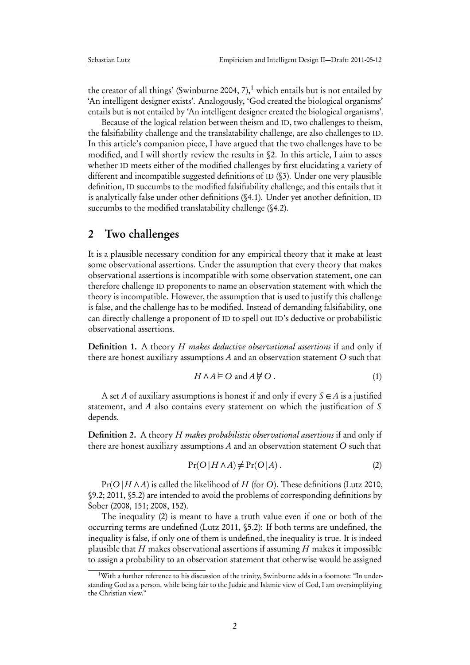the creator of all things' [\(Swinburne](#page-13-0) [2004,](#page-13-0) 7),<sup>[1](#page-1-1)</sup> which entails but is not entailed by 'An intelligent designer exists'. Analogously, 'God created the biological organisms' entails but is not entailed by 'An intelligent designer created the biological organisms'.

Because of the logical relation between theism and ID, two challenges to theism, the falsifiability challenge and the translatability challenge, are also challenges to ID. In this article's companion piece, I have argued that the two challenges have to be modified, and I will shortly review the results in [§2.](#page-1-0) In this article, I aim to asses whether ID meets either of the modified challenges by first elucidating a variety of different and incompatible suggested definitions of ID ([§3\)](#page-2-0). Under one very plausible definition, ID succumbs to the modified falsifiability challenge, and this entails that it is analytically false under other definitions ([§4.1\)](#page-8-0). Under yet another definition, ID succumbs to the modified translatability challenge ([§4.2\)](#page-10-0).

## <span id="page-1-0"></span>2 Two challenges

It is a plausible necessary condition for any empirical theory that it make at least some observational assertions. Under the assumption that every theory that makes observational assertions is incompatible with some observation statement, one can therefore challenge ID proponents to name an observation statement with which the theory is incompatible. However, the assumption that is used to justify this challenge is false, and the challenge has to be modified. Instead of demanding falsifiability, one can directly challenge a proponent of ID to spell out ID's deductive or probabilistic observational assertions.

**Definition 1.** A theory H makes deductive observational assertions if and only if there are honest auxiliary assumptions A and an observation statement O such that

$$
H \wedge A \models O \text{ and } A \not\models O. \tag{1}
$$

A set A of auxiliary assumptions is honest if and only if every  $S \in A$  is a justified statement, and A also contains every statement on which the justification of S depends.

Definition 2. A theory H makes probabilistic observational assertions if and only if there are honest auxiliary assumptions A and an observation statement O such that

<span id="page-1-2"></span>
$$
Pr(O | H \land A) \neq Pr(O | A).
$$
 (2)

 $Pr(O|H \land A)$  is called the likelihood of H (for O). These definitions [\(Lutz](#page-13-1) [2010,](#page-13-1) §9.2; [2011,](#page-13-2) §5.2) are intended to avoid the problems of corresponding definitions by Sober [\(2008,](#page-13-3) 151; [2008,](#page-13-3) 152).

The inequality [\(2\)](#page-1-2) is meant to have a truth value even if one or both of the occurring terms are undefined [\(Lutz](#page-13-2) [2011,](#page-13-2) §5.2): If both terms are undefined, the inequality is false, if only one of them is undefined, the inequality is true. It is indeed plausible that  $H$  makes observational assertions if assuming  $H$  makes it impossible to assign a probability to an observation statement that otherwise would be assigned

<span id="page-1-1"></span> $1$ With a further reference to his discussion of the trinity, Swinburne adds in a footnote: "In understanding God as a person, while being fair to the Judaic and Islamic view of God, I am oversimplifying the Christian view."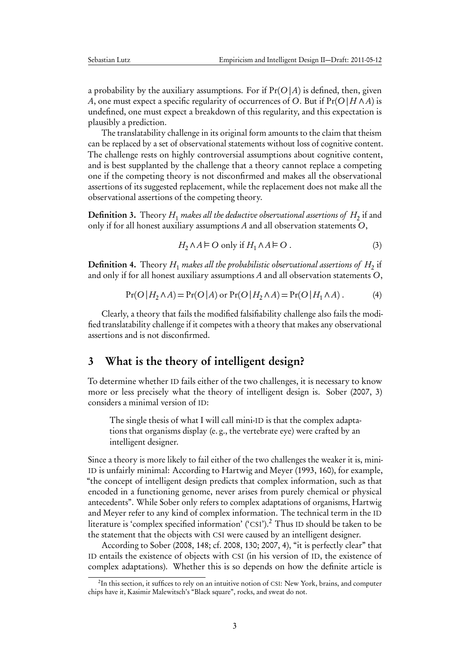a probability by the auxiliary assumptions. For if  $Pr(O|A)$  is defined, then, given A, one must expect a specific regularity of occurrences of O. But if  $Pr(O|H \wedge A)$  is undefined, one must expect a breakdown of this regularity, and this expectation is plausibly a prediction.

The translatability challenge in its original form amounts to the claim that theism can be replaced by a set of observational statements without loss of cognitive content. The challenge rests on highly controversial assumptions about cognitive content, and is best supplanted by the challenge that a theory cannot replace a competing one if the competing theory is not disconfirmed and makes all the observational assertions of its suggested replacement, while the replacement does not make all the observational assertions of the competing theory.

**Definition 3.** Theory  $H_1$  *makes all the deductive observational assertions of*  $H_2$  *if and* only if for all honest auxiliary assumptions A and all observation statements O,

$$
H_2 \wedge A \models O \text{ only if } H_1 \wedge A \models O . \tag{3}
$$

**Definition 4.** Theory  $H_1$  makes all the probabilistic observational assertions of  $H_2$  if and only if for all honest auxiliary assumptions A and all observation statements O,

$$
Pr(O | H_2 \land A) = Pr(O | A) \text{ or } Pr(O | H_2 \land A) = Pr(O | H_1 \land A).
$$
 (4)

Clearly, a theory that fails the modified falsifiability challenge also fails the modified translatability challenge if it competes with a theory that makes any observational assertions and is not disconfirmed.

# <span id="page-2-0"></span>3 What is the theory of intelligent design?

To determine whether ID fails either of the two challenges, it is necessary to know more or less precisely what the theory of intelligent design is. [Sober](#page-13-4) [\(2007,](#page-13-4) 3) considers a minimal version of ID:

The single thesis of what I will call mini-ID is that the complex adaptations that organisms display (e. g., the vertebrate eye) were crafted by an intelligent designer.

Since a theory is more likely to fail either of the two challenges the weaker it is, mini-ID is unfairly minimal: According to [Hartwig and Meyer](#page-12-0) [\(1993,](#page-12-0) 160), for example, "the concept of intelligent design predicts that complex information, such as that encoded in a functioning genome, never arises from purely chemical or physical antecedents". While Sober only refers to complex adaptations of organisms, [Hartwig](#page-12-0) [and Meyer](#page-12-0) refer to any kind of complex information. The technical term in the ID literature is 'complex specified information' ('CSI').<sup>[2](#page-2-1)</sup> Thus ID should be taken to be the statement that the objects with CSI were caused by an intelligent designer.

According to Sober [\(2008,](#page-13-3) 148; cf. [2008,](#page-13-3) 130; [2007,](#page-13-4) 4), "it is perfectly clear" that ID entails the existence of objects with CSI (in his version of ID, the existence of complex adaptations). Whether this is so depends on how the definite article is

<span id="page-2-1"></span> $^{2}$ In this section, it suffices to rely on an intuitive notion of CSI: New York, brains, and computer chips have it, Kasimir Malewitsch's "Black square", rocks, and sweat do not.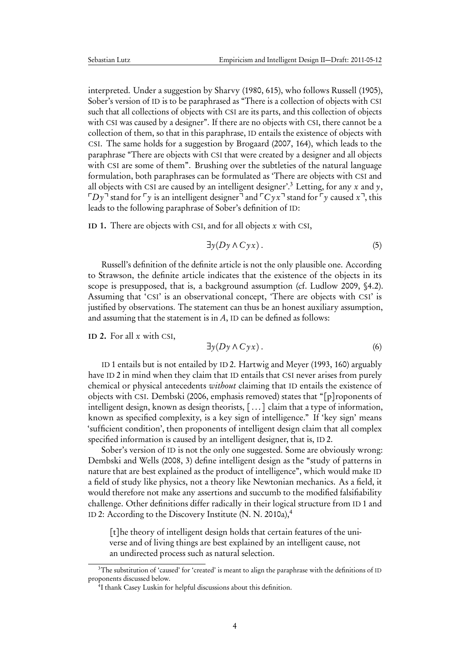interpreted. Under a suggestion by [Sharvy](#page-13-5) [\(1980,](#page-13-5) 615), who follows [Russell](#page-13-6) [\(1905\)](#page-13-6), Sober's version of ID is to be paraphrased as "There is a collection of objects with CSI such that all collections of objects with CSI are its parts, and this collection of objects with CSI was caused by a designer". If there are no objects with CSI, there cannot be a collection of them, so that in this paraphrase, ID entails the existence of objects with CSI. The same holds for a suggestion by [Brogaard](#page-12-1) [\(2007,](#page-12-1) 164), which leads to the paraphrase "There are objects with CSI that were created by a designer and all objects with CSI are some of them". Brushing over the subtleties of the natural language formulation, both paraphrases can be formulated as 'There are objects with CSI and all objects with CSI are caused by an intelligent designer'.<sup>[3](#page-3-0)</sup> Letting, for any x and y,  $\lceil D\gamma \rceil$  stand for  $\lceil \gamma \rceil$  is an intelligent designer<sup> $\lceil \frac{d}{d\rceil}$ </sup> and  $\lceil C \gamma x \rceil$  stand for  $\lceil \gamma \rceil$  caused  $x \rceil$ , this leads to the following paraphrase of Sober's definition of ID:

<span id="page-3-1"></span>ID 1. There are objects with CSI, and for all objects  $x$  with CSI,

$$
\exists y(Dy \land Cyx). \tag{5}
$$

Russell's definition of the definite article is not the only plausible one. According to Strawson, the definite article indicates that the existence of the objects in its scope is presupposed, that is, a background assumption (cf. [Ludlow](#page-13-7) [2009,](#page-13-7) §4.2). Assuming that 'CSI' is an observational concept, 'There are objects with CSI' is justified by observations. The statement can thus be an honest auxiliary assumption, and assuming that the statement is in  $A$ , ID can be defined as follows:

<span id="page-3-2"></span>ID 2. For all  $x$  with CSI,

$$
\exists y(Dy \land Cyx). \tag{6}
$$

ID [1](#page-3-1) entails but is not entailed by ID [2.](#page-3-2) [Hartwig and Meyer](#page-12-0) [\(1993,](#page-12-0) 160) arguably have ID [2](#page-3-2) in mind when they claim that ID entails that CSI never arises from purely chemical or physical antecedents without claiming that ID entails the existence of objects with CSI. [Dembski](#page-12-2) [\(2006,](#page-12-2) emphasis removed) states that "[p]roponents of intelligent design, known as design theorists, [ . . . ] claim that a type of information, known as specified complexity, is a key sign of intelligence." If 'key sign' means 'sufficient condition', then proponents of intelligent design claim that all complex specified information is caused by an intelligent designer, that is, ID [2.](#page-3-2)

Sober's version of ID is not the only one suggested. Some are obviously wrong: [Dembski and Wells](#page-12-3) [\(2008,](#page-12-3) 3) define intelligent design as the "study of patterns in nature that are best explained as the product of intelligence", which would make ID a field of study like physics, not a theory like Newtonian mechanics. As a field, it would therefore not make any assertions and succumb to the modified falsifiability challenge. Other definitions differ radically in their logical structure from ID [1](#page-3-1) and ID [2:](#page-3-2) According to the Discovery Institute  $(N, N, 2010a)$  $(N, N, 2010a)$ ,<sup>[4](#page-3-3)</sup>

[t]he theory of intelligent design holds that certain features of the universe and of living things are best explained by an intelligent cause, not an undirected process such as natural selection.

<span id="page-3-0"></span><sup>&</sup>lt;sup>3</sup>The substitution of 'caused' for 'created' is meant to align the paraphrase with the definitions of ID proponents discussed below.

<span id="page-3-3"></span><sup>4</sup> I thank Casey Luskin for helpful discussions about this definition.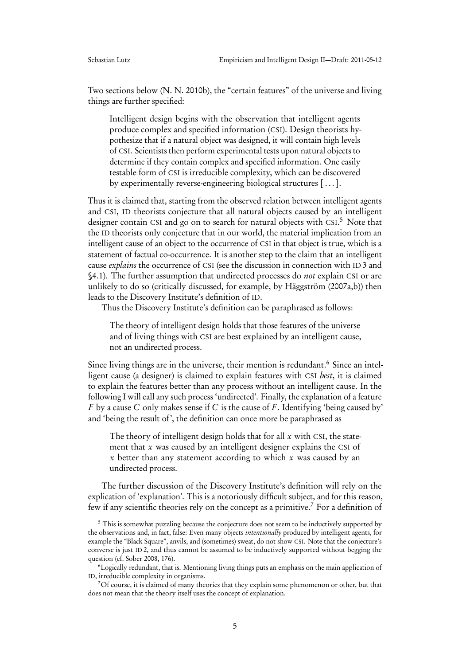Two sections below [\(N. N.](#page-13-9) [2010b\)](#page-13-9), the "certain features" of the universe and living things are further specified:

Intelligent design begins with the observation that intelligent agents produce complex and specified information (CSI). Design theorists hypothesize that if a natural object was designed, it will contain high levels of CSI. Scientists then perform experimental tests upon natural objects to determine if they contain complex and specified information. One easily testable form of CSI is irreducible complexity, which can be discovered by experimentally reverse-engineering biological structures [ . . . ].

Thus it is claimed that, starting from the observed relation between intelligent agents and CSI, ID theorists conjecture that all natural objects caused by an intelligent designer contain CSI and go on to search for natural objects with CSI. [5](#page-4-0) Note that the ID theorists only conjecture that in our world, the material implication from an intelligent cause of an object to the occurrence of CSI in that object is true, which is a statement of factual co-occurrence. It is another step to the claim that an intelligent cause explains the occurrence of CSI (see the discussion in connection with ID [3](#page-5-0) and [§4.1\)](#page-8-0). The further assumption that undirected processes do not explain CSI or are unlikely to do so (critically discussed, for example, by [Häggström](#page-12-4) [\(2007a,](#page-12-4)[b\)](#page-12-5)) then leads to the Discovery Institute's definition of ID.

Thus the Discovery Institute's definition can be paraphrased as follows:

The theory of intelligent design holds that those features of the universe and of living things with CSI are best explained by an intelligent cause, not an undirected process.

Since living things are in the universe, their mention is redundant.<sup>[6](#page-4-1)</sup> Since an intelligent cause (a designer) is claimed to explain features with CSI best, it is claimed to explain the features better than any process without an intelligent cause. In the following I will call any such process 'undirected'. Finally, the explanation of a feature F by a cause C only makes sense if C is the cause of F. Identifying 'being caused by' and 'being the result of', the definition can once more be paraphrased as

The theory of intelligent design holds that for all  $x$  with CSI, the statement that x was caused by an intelligent designer explains the CSI of x better than any statement according to which x was caused by an undirected process.

The further discussion of the Discovery Institute's definition will rely on the explication of 'explanation'. This is a notoriously difficult subject, and for this reason, few if any scientific theories rely on the concept as a primitive.[7](#page-4-2) For a definition of

<span id="page-4-0"></span><sup>&</sup>lt;sup>5</sup> This is somewhat puzzling because the conjecture does not seem to be inductively supported by the observations and, in fact, false: Even many objects intentionally produced by intelligent agents, for example the "Black Square", anvils, and (sometimes) sweat, do not show CSI. Note that the conjecture's converse is just ID [2,](#page-3-2) and thus cannot be assumed to be inductively supported without begging the question (cf. [Sober](#page-13-3) [2008,](#page-13-3) 176).

<span id="page-4-1"></span><sup>6</sup>Logically redundant, that is. Mentioning living things puts an emphasis on the main application of ID, irreducible complexity in organisms.

<span id="page-4-2"></span><sup>7</sup>Of course, it is claimed of many theories that they explain some phenomenon or other, but that does not mean that the theory itself uses the concept of explanation.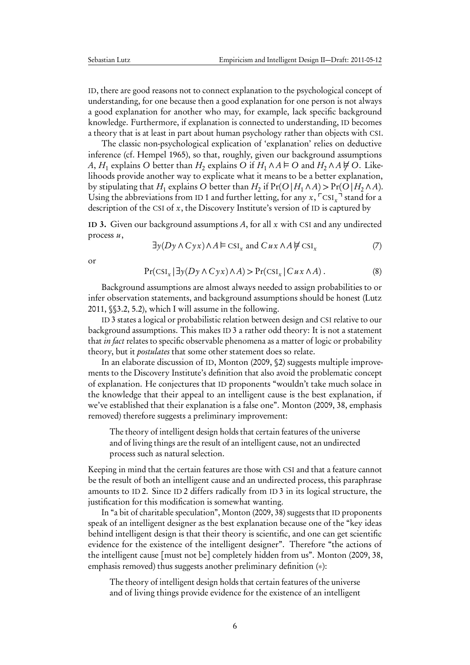ID, there are good reasons not to connect explanation to the psychological concept of understanding, for one because then a good explanation for one person is not always a good explanation for another who may, for example, lack specific background knowledge. Furthermore, if explanation is connected to understanding, ID becomes a theory that is at least in part about human psychology rather than objects with CSI.

The classic non-psychological explication of 'explanation' relies on deductive inference (cf. [Hempel](#page-12-6) [1965\)](#page-12-6), so that, roughly, given our background assumptions A,  $H_1$  explains O better than  $H_2$  explains O if  $H_1 \wedge A \vDash \mathrm{O}$  and  $H_2 \wedge A \not\models \mathrm{O}$ . Likelihoods provide another way to explicate what it means to be a better explanation, by stipulating that  $H_1$  explains O better than  $H_2$  if  $Pr(O | H_1 \wedge A)$  >  $Pr(\hat{O} | H_2 \wedge A)$ . Using the abbreviations from ID [1](#page-3-1) and further letting, for any  $x$ ,  $\sqrt{\text{CSI}_x}$  stand for a description of the CSI of  $x$ , the Discovery Institute's version of ID is captured by

<span id="page-5-0"></span>ID 3. Given our background assumptions  $A$ , for all  $x$  with CSI and any undirected process  $u$ ,

<span id="page-5-2"></span>
$$
\exists y (Dy \land Cyx) \land A \vDash \text{CSI}_x \text{ and } Cux \land A \not\vdash \text{CSI}_x \tag{7}
$$

or

<span id="page-5-1"></span>
$$
\Pr(\operatorname{CSI}_x \mid \exists y (Dy \land Cyx) \land A) > \Pr(\operatorname{CSI}_x \mid Cux \land A).
$$
\n(8)

Background assumptions are almost always needed to assign probabilities to or infer observation statements, and background assumptions should be honest [\(Lutz](#page-13-2) [2011,](#page-13-2) §§3.2, 5.2), which I will assume in the following.

ID [3](#page-5-0) states a logical or probabilistic relation between design and CSI relative to our background assumptions. This makes ID [3](#page-5-0) a rather odd theory: It is not a statement that *in fact* relates to specific observable phenomena as a matter of logic or probability theory, but it postulates that some other statement does so relate.

In an elaborate discussion of ID, [Monton](#page-13-10) [\(2009,](#page-13-10) §2) suggests multiple improvements to the Discovery Institute's definition that also avoid the problematic concept of explanation. He conjectures that ID proponents "wouldn't take much solace in the knowledge that their appeal to an intelligent cause is the best explanation, if we've established that their explanation is a false one". [Monton](#page-13-10) [\(2009,](#page-13-10) 38, emphasis removed) therefore suggests a preliminary improvement:

The theory of intelligent design holds that certain features of the universe and of living things are the result of an intelligent cause, not an undirected process such as natural selection.

Keeping in mind that the certain features are those with CSI and that a feature cannot be the result of both an intelligent cause and an undirected process, this paraphrase amounts to ID [2.](#page-3-2) Since ID [2](#page-3-2) differs radically from ID [3](#page-5-0) in its logical structure, the justification for this modification is somewhat wanting.

In "a bit of charitable speculation", [Monton](#page-13-10) [\(2009,](#page-13-10) 38) suggests that ID proponents speak of an intelligent designer as the best explanation because one of the "key ideas behind intelligent design is that their theory is scientific, and one can get scientific evidence for the existence of the intelligent designer". Therefore "the actions of the intelligent cause [must not be] completely hidden from us". [Monton](#page-13-10) [\(2009,](#page-13-10) 38, emphasis removed) thus suggests another preliminary definition (∗):

The theory of intelligent design holds that certain features of the universe and of living things provide evidence for the existence of an intelligent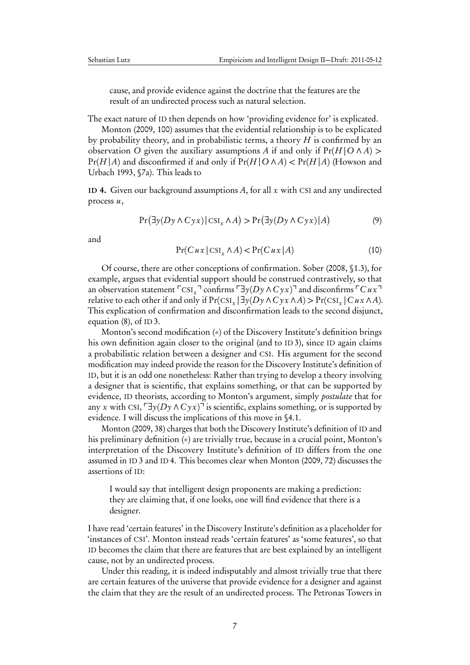cause, and provide evidence against the doctrine that the features are the result of an undirected process such as natural selection.

The exact nature of ID then depends on how 'providing evidence for' is explicated.

[Monton](#page-13-10) [\(2009,](#page-13-10) 100) assumes that the evidential relationship is to be explicated by probability theory, and in probabilistic terms, a theory  $H$  is confirmed by an observation O given the auxiliary assumptions A if and only if  $Pr(H | O \land A)$  >  $Pr(H | A)$  and disconfirmed if and only if  $Pr(H | O \land A) < Pr(H | A)$  [\(Howson and](#page-12-7) [Urbach](#page-12-7) [1993,](#page-12-7) §7a). This leads to

<span id="page-6-0"></span>ID 4. Given our background assumptions A, for all x with CSI and any undirected process  $u$ ,

<span id="page-6-2"></span>
$$
Pr(\exists y(Dy \land Cyx) | \text{CSI}_x \land A) > Pr(\exists y(Dy \land Cyx) | A)
$$
\n(9)

and

<span id="page-6-1"></span>
$$
Pr(Cux | \operatorname{CSI}_x \wedge A) < Pr(Cux | A) \tag{10}
$$

Of course, there are other conceptions of confirmation. [Sober](#page-13-3) [\(2008,](#page-13-3) §1.3), for example, argues that evidential support should be construed contrastively, so that an observation statement  $\left[\text{CSI}_x\right]$  confirms  $\left[\exists y(Dy \land Cyx)\right]$  and disconfirms  $\left[\text{Cux}\right]$ relative to each other if and only if  $Pr(\text{CSI}_x | \exists y(Dy \land Cyx \land A) > Pr(\text{CSI}_x | Cux \land A)$ . This explication of confirmation and disconfirmation leads to the second disjunct, equation [\(8\)](#page-5-1), of ID [3.](#page-5-0)

Monton's second modification (\*) of the Discovery Institute's definition brings his own definition again closer to the original (and to ID [3\)](#page-5-0), since ID again claims a probabilistic relation between a designer and CSI. His argument for the second modification may indeed provide the reason for the Discovery Institute's definition of ID, but it is an odd one nonetheless: Rather than trying to develop a theory involving a designer that is scientific, that explains something, or that can be supported by evidence, ID theorists, according to Monton's argument, simply postulate that for any x with CSI,  $\exists y(Dy \land Cyx)$ <sup>1</sup> is scientific, explains something, or is supported by evidence. I will discuss the implications of this move in [§4.1.](#page-9-0)

[Monton](#page-13-10) [\(2009,](#page-13-10) 38) charges that both the Discovery Institute's definition of ID and his preliminary definition (\*) are trivially true, because in a crucial point, Monton's interpretation of the Discovery Institute's definition of ID differs from the one assumed in ID [3](#page-5-0) and ID [4.](#page-6-0) This becomes clear when [Monton](#page-13-10) [\(2009,](#page-13-10) 72) discusses the assertions of ID:

I would say that intelligent design proponents are making a prediction: they are claiming that, if one looks, one will find evidence that there is a designer.

I have read 'certain features' in the Discovery Institute's definition as a placeholder for 'instances of CSI'. Monton instead reads 'certain features' as 'some features', so that ID becomes the claim that there are features that are best explained by an intelligent cause, not by an undirected process.

Under this reading, it is indeed indisputably and almost trivially true that there are certain features of the universe that provide evidence for a designer and against the claim that they are the result of an undirected process. The Petronas Towers in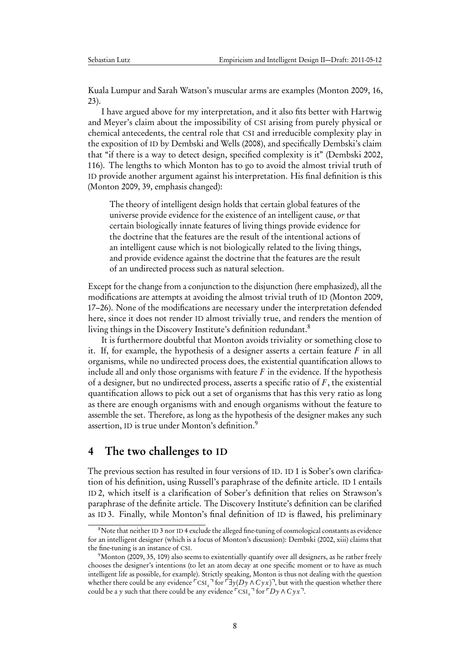Kuala Lumpur and Sarah Watson's muscular arms are examples [\(Monton](#page-13-10) [2009,](#page-13-10) 16, 23).

I have argued above for my interpretation, and it also fits better with [Hartwig](#page-12-0) [and Meyer'](#page-12-0)s claim about the impossibility of CSI arising from purely physical or chemical antecedents, the central role that CSI and irreducible complexity play in the exposition of ID by [Dembski and Wells](#page-12-3) [\(2008\)](#page-12-3), and specifically Dembski's claim that "if there is a way to detect design, specified complexity is it" [\(Dembski](#page-12-8) [2002,](#page-12-8) 116). The lengths to which Monton has to go to avoid the almost trivial truth of ID provide another argument against his interpretation. His final definition is this [\(Monton](#page-13-10) [2009,](#page-13-10) 39, emphasis changed):

The theory of intelligent design holds that certain global features of the universe provide evidence for the existence of an intelligent cause, or that certain biologically innate features of living things provide evidence for the doctrine that the features are the result of the intentional actions of an intelligent cause which is not biologically related to the living things, and provide evidence against the doctrine that the features are the result of an undirected process such as natural selection.

Except for the change from a conjunction to the disjunction (here emphasized), all the modifications are attempts at avoiding the almost trivial truth of ID [\(Monton](#page-13-10) [2009,](#page-13-10) 17–26). None of the modifications are necessary under the interpretation defended here, since it does not render ID almost trivially true, and renders the mention of living things in the Discovery Institute's definition redundant.<sup>[8](#page-7-1)</sup>

It is furthermore doubtful that Monton avoids triviality or something close to it. If, for example, the hypothesis of a designer asserts a certain feature  $F$  in all organisms, while no undirected process does, the existential quantification allows to include all and only those organisms with feature  $F$  in the evidence. If the hypothesis of a designer, but no undirected process, asserts a specific ratio of  $F$ , the existential quantification allows to pick out a set of organisms that has this very ratio as long as there are enough organisms with and enough organisms without the feature to assemble the set. Therefore, as long as the hypothesis of the designer makes any such assertion, ID is true under Monton's definition.[9](#page-7-2)

#### <span id="page-7-0"></span>4 The two challenges to ID

The previous section has resulted in four versions of ID. ID [1](#page-3-1) is Sober's own clarification of his definition, using Russell's paraphrase of the definite article. ID [1](#page-3-1) entails ID [2,](#page-3-2) which itself is a clarification of Sober's definition that relies on Strawson's paraphrase of the definite article. The Discovery Institute's definition can be clarified as ID [3.](#page-5-0) Finally, while Monton's final definition of ID is flawed, his preliminary

<span id="page-7-1"></span><sup>&</sup>lt;sup>8</sup>Note that neither ID [3](#page-5-0) nor ID [4](#page-6-0) exclude the alleged fine-tuning of cosmological constants as evidence for an intelligent designer (which is a focus of Monton's discussion): [Dembski](#page-12-8) [\(2002,](#page-12-8) xiii) claims that the fine-tuning is an instance of CSI.

<span id="page-7-2"></span><sup>&</sup>lt;sup>9</sup>[Monton](#page-13-10) [\(2009,](#page-13-10) 35, 109) also seems to existentially quantify over all designers, as he rather freely chooses the designer's intentions (to let an atom decay at one specific moment or to have as much intelligent life as possible, for example). Strictly speaking, Monton is thus not dealing with the question whether there could be any evidence  $\ulcorner$  CSI<sub>x</sub> $\urcorner$  for  $\ulcorner \exists y (Dy \land Cyx) \urcorner$ , but with the question whether there could be a y such that there could be any evidence  $\sqrt{\text{CSI}_x} \cdot \text{for } \sqrt{\text{D}y} \wedge \text{C} y x$ <sup>-1</sup>.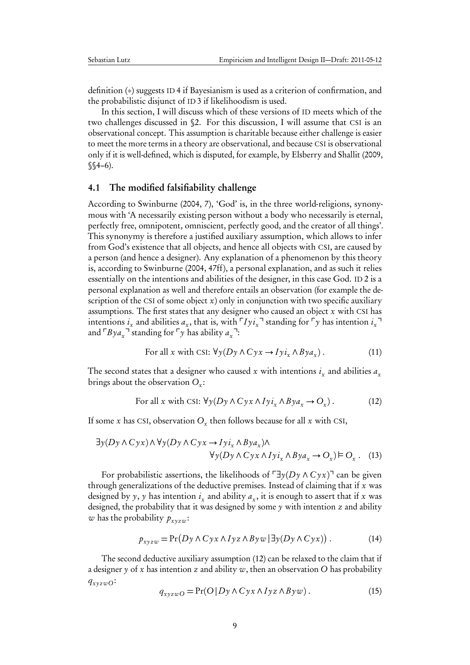definition (∗) suggests ID [4](#page-6-0) if Bayesianism is used as a criterion of confirmation, and the probabilistic disjunct of ID [3](#page-5-0) if likelihoodism is used.

In this section, I will discuss which of these versions of ID meets which of the two challenges discussed in [§2.](#page-1-0) For this discussion, I will assume that CSI is an observational concept. This assumption is charitable because either challenge is easier to meet the more terms in a theory are observational, and because CSI is observational only if it is well-defined, which is disputed, for example, by [Elsberry and Shallit](#page-12-9) [\(2009,](#page-12-9)  $$§4-6$ ).

#### <span id="page-8-0"></span>4.1 The modified falsifiability challenge

According to [Swinburne](#page-13-0) [\(2004,](#page-13-0) 7), 'God' is, in the three world-religions, synonymous with 'A necessarily existing person without a body who necessarily is eternal, perfectly free, omnipotent, omniscient, perfectly good, and the creator of all things'. This synonymy is therefore a justified auxiliary assumption, which allows to infer from God's existence that all objects, and hence all objects with CSI, are caused by a person (and hence a designer). Any explanation of a phenomenon by this theory is, according to [Swinburne](#page-13-0) [\(2004,](#page-13-0) 47ff), a personal explanation, and as such it relies essentially on the intentions and abilities of the designer, in this case God. ID [2](#page-3-2) is a personal explanation as well and therefore entails an observation (for example the description of the CSI of some object  $x$ ) only in conjunction with two specific auxiliary assumptions. The first states that any designer who caused an object  $x$  with CSI has intentions  $i_x$  and abilities  $a_x$ , that is, with  $\ulcorner I y i_x \urcorner$  standing for  $\ulcorner y$  has intention  $i_x \urcorner$ and  $\ulcorner Bya_x \urcorner$  standing for  $\ulcorner y$  has ability  $a_x \urcorner$ :

<span id="page-8-2"></span>For all x with CSI: 
$$
\forall y(Dy \land Cyx \rightarrow Iyi_x \land Bya_x)
$$
. (11)

The second states that a designer who caused x with intentions  $i_x$  and abilities  $a_x$ brings about the observation  $O_x$ :

<span id="page-8-3"></span><span id="page-8-1"></span>For all x with CSI: 
$$
\forall y(Dy \land Cyx \land Iyi_x \land Bya_x \rightarrow O_x)
$$
. (12)

If some x has CSI, observation  $O_x$  then follows because for all x with CSI,

$$
\exists y (Dy \land Cyx) \land \forall y (Dy \land Cyx \to Iyi_x \land Bya_x) \land \forall y (Dy \land Cyx \land Iyi_x \land Bya_x \to O_x) \models O_x. \quad (13)
$$

For probabilistic assertions, the likelihoods of  $\exists y(Dy \land Cyx)^{\dagger}$  can be given through generalizations of the deductive premises. Instead of claiming that if  $x$  was designed by y, y has intention  $i_x$  and ability  $a_x$ , it is enough to assert that if x was designed, the probability that it was designed by some  $y$  with intention  $z$  and ability w has the probability  $p_{xyzw}$ :

<span id="page-8-4"></span>
$$
p_{xyzw} = \Pr(Dy \land Cyx \land Iyz \land Byw \mid \exists y(Dy \land Cyx)). \tag{14}
$$

The second deductive auxiliary assumption [\(12\)](#page-8-1) can be relaxed to the claim that if a designer y of x has intention z and ability w, then an observation O has probability  $q_{xyzwO}$ :

<span id="page-8-5"></span>
$$
q_{xyzwO} = \Pr(O|Dy \land Cyx \land Iyz \land Byw).
$$
 (15)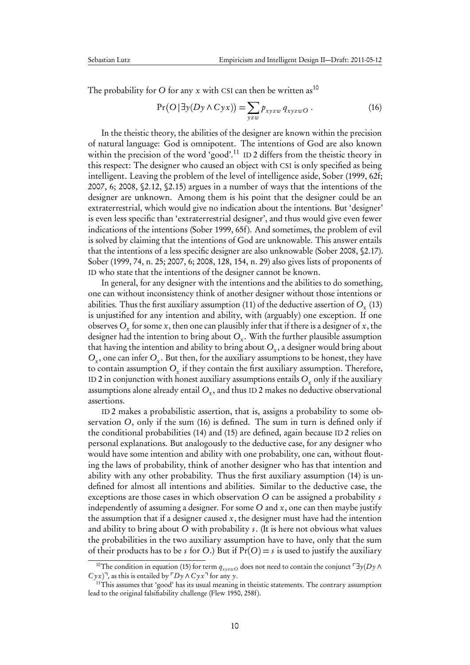The probability for O for any x with CSI can then be written as<sup>[10](#page-9-1)</sup>

<span id="page-9-0"></span>
$$
Pr(O | \exists y(Dy \land Cyx)) = \sum_{yzw} p_{xyzw} q_{xyzwO}.
$$
 (16)

In the theistic theory, the abilities of the designer are known within the precision of natural language: God is omnipotent. The intentions of God are also known within the precision of the word 'good'.<sup>[11](#page-9-2)</sup> ID [2](#page-3-2) differs from the theistic theory in this respect: The designer who caused an object with CSI is only specified as being intelligent. Leaving the problem of the level of intelligence aside, Sober [\(1999,](#page-13-11) 62f; [2007,](#page-13-4) 6; [2008,](#page-13-3) §2.12, §2.15) argues in a number of ways that the intentions of the designer are unknown. Among them is his point that the designer could be an extraterrestrial, which would give no indication about the intentions. But 'designer' is even less specific than 'extraterrestrial designer', and thus would give even fewer indications of the intentions [\(Sober](#page-13-11) [1999,](#page-13-11) 65f). And sometimes, the problem of evil is solved by claiming that the intentions of God are unknowable. This answer entails that the intentions of a less specific designer are also unknowable [\(Sober](#page-13-3) [2008,](#page-13-3) §2.17). Sober [\(1999,](#page-13-11) 74, n. 25; [2007,](#page-13-4) 6; [2008,](#page-13-3) 128, 154, n. 29) also gives lists of proponents of ID who state that the intentions of the designer cannot be known.

In general, for any designer with the intentions and the abilities to do something, one can without inconsistency think of another designer without those intentions or abilities. Thus the first auxiliary assumption [\(11\)](#page-8-2) of the deductive assertion of  $O_{_X}$  [\(13\)](#page-8-3) is unjustified for any intention and ability, with (arguably) one exception. If one observes  $O_x$  for some  $x$ , then one can plausibly infer that if there is a designer of  $x$ , the designer had the intention to bring about  $O_{\rm x}.$  With the further plausible assumption that having the intention and ability to bring about  $O_{\rm x}$ , a designer would bring about  $O_x$ , one can infer  $O_x$ . But then, for the auxiliary assumptions to be honest, they have to contain assumption  $O_{\rm x}$  if they contain the first auxiliary assumption. Therefore, ID [2](#page-3-2) in conjunction with honest auxiliary assumptions entails  $O_{x}$  only if the auxiliary assumptions alone already entail  $O_{\rm x}$ , and thus ID [2](#page-3-2) makes no deductive observational assertions.

ID [2](#page-3-2) makes a probabilistic assertion, that is, assigns a probability to some observation O, only if the sum [\(16\)](#page-9-0) is defined. The sum in turn is defined only if the conditional probabilities [\(14\)](#page-8-4) and [\(15\)](#page-8-5) are defined, again because ID [2](#page-3-2) relies on personal explanations. But analogously to the deductive case, for any designer who would have some intention and ability with one probability, one can, without flouting the laws of probability, think of another designer who has that intention and ability with any other probability. Thus the first auxiliary assumption [\(14\)](#page-8-4) is undefined for almost all intentions and abilities. Similar to the deductive case, the exceptions are those cases in which observation O can be assigned a probability s independently of assuming a designer. For some  $O$  and  $x$ , one can then maybe justify the assumption that if a designer caused  $x$ , the designer must have had the intention and ability to bring about O with probability s. (It is here not obvious what values the probabilities in the two auxiliary assumption have to have, only that the sum of their products has to be s for O.) But if  $Pr(O) = s$  is used to justify the auxiliary

<span id="page-9-1"></span><sup>&</sup>lt;sup>10</sup>The condition in equation [\(15\)](#page-8-5) for term  $q_{xyzwO}$  does not need to contain the conjunct  $\Box$ y(Dy  $\land$  $C y x$ <sup>7</sup>, as this is entailed by  $\sqrt{D} y \wedge C y x$ <sup>7</sup> for any y.

<span id="page-9-2"></span> $11$ This assumes that 'good' has its usual meaning in theistic statements. The contrary assumption lead to the original falsifiability challenge [\(Flew](#page-12-10) [1950,](#page-12-10) 258f).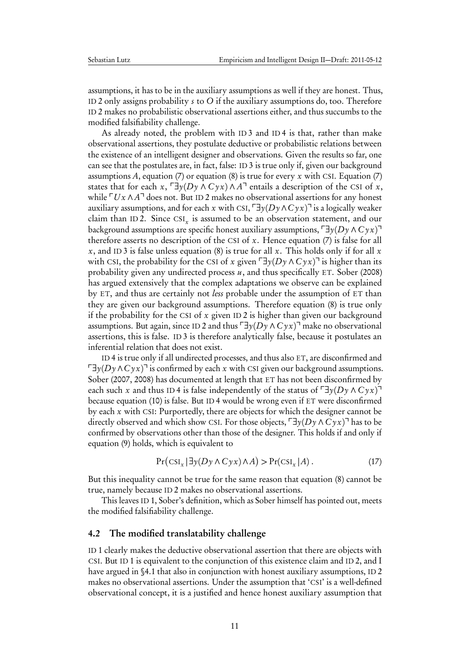assumptions, it has to be in the auxiliary assumptions as well if they are honest. Thus, ID [2](#page-3-2) only assigns probability s to O if the auxiliary assumptions do, too. Therefore ID [2](#page-3-2) makes no probabilistic observational assertions either, and thus succumbs to the modified falsifiability challenge.

As already noted, the problem with ID [3](#page-5-0) and ID [4](#page-6-0) is that, rather than make observational assertions, they postulate deductive or probabilistic relations between the existence of an intelligent designer and observations. Given the results so far, one can see that the postulates are, in fact, false: ID [3](#page-5-0) is true only if, given our background assumptions A, equation [\(7\)](#page-5-2) or equation [\(8\)](#page-5-1) is true for every x with CSI. Equation (7) states that for each x,  $\exists y(Dy \land Cyx) \land A^{\dagger}$  entails a description of the CSI of x, while  $\ulcorner Ux \land A \urcorner$  does not. But ID [2](#page-3-2) makes no observational assertions for any honest auxiliary assumptions, and for each x with CSI,  $\exists y(Dy \land Cyx)$  is a logically weaker claim than ID[2.](#page-3-2) Since  $\text{CSI}_x$  is assumed to be an observation statement, and our background assumptions are specific honest auxiliary assumptions,  $\exists y(Dy \land Cyx)$ <sup>→</sup> therefore asserts no description of the CSI of  $x$ . Hence equation [\(7\)](#page-5-2) is false for all x, and ID [3](#page-5-0) is false unless equation [\(8\)](#page-5-1) is true for all x. This holds only if for all x with CSI, the probability for the CSI of x given  $\exists y(Dy \land Cyx)$  is higher than its probability given any undirected process  $u$ , and thus specifically ET. [Sober](#page-13-3) [\(2008\)](#page-13-3) has argued extensively that the complex adaptations we observe can be explained by ET, and thus are certainly not less probable under the assumption of ET than they are given our background assumptions. Therefore equation [\(8\)](#page-5-1) is true only if the probability for the CSI of  $x$  given ID [2](#page-3-2) is higher than given our background assumptions. But again, since ID [2](#page-3-2) and thus  $\exists y(Dy \land Cyx)$ <sup>n</sup> make no observational assertions, this is false. ID [3](#page-5-0) is therefore analytically false, because it postulates an inferential relation that does not exist.

ID [4](#page-6-0) is true only if all undirected processes, and thus also ET, are disconfirmed and  $\exists y(Dy \land Cyx)$ <sup>7</sup> is confirmed by each x with CSI given our background assumptions. [Sober](#page-13-4) [\(2007,](#page-13-4) [2008\)](#page-13-3) has documented at length that ET has not been disconfirmed by each such x and thus ID [4](#page-6-0) is false independently of the status of  $\exists y(Dy \land Cyx)$ <sup>→</sup> because equation [\(10\)](#page-6-1) is false. But ID [4](#page-6-0) would be wrong even if ET were disconfirmed by each x with CSI: Purportedly, there are objects for which the designer cannot be directly observed and which show CSI. For those objects,  $\exists y(Dy \land Cyx)$ <sup>7</sup> has to be confirmed by observations other than those of the designer. This holds if and only if equation [\(9\)](#page-6-2) holds, which is equivalent to

$$
\Pr\left(\operatorname{CSI}_x \mid \exists y (Dy \land Cyx) \land A\right) > \Pr(\operatorname{CSI}_x \mid A). \tag{17}
$$

But this inequality cannot be true for the same reason that equation [\(8\)](#page-5-1) cannot be true, namely because ID [2](#page-3-2) makes no observational assertions.

This leaves ID [1,](#page-3-1) Sober's definition, which as Sober himself has pointed out, meets the modified falsifiability challenge.

#### <span id="page-10-0"></span>4.2 The modified translatability challenge

ID [1](#page-3-1) clearly makes the deductive observational assertion that there are objects with CSI. But ID [1](#page-3-1) is equivalent to the conjunction of this existence claim and ID [2,](#page-3-2) and I have argued in [§4.1](#page-8-0) that also in conjunction with honest auxiliary assumptions, ID [2](#page-3-2) makes no observational assertions. Under the assumption that 'CSI' is a well-defined observational concept, it is a justified and hence honest auxiliary assumption that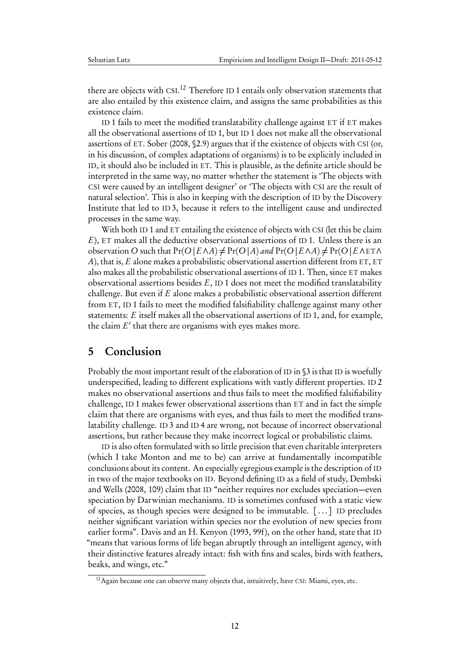there are objects with CSI.<sup>[12](#page-11-1)</sup> Therefore ID [1](#page-3-1) entails only observation statements that are also entailed by this existence claim, and assigns the same probabilities as this existence claim.

ID [1](#page-3-1) fails to meet the modified translatability challenge against ET if ET makes all the observational assertions of ID [1,](#page-3-1) but ID [1](#page-3-1) does not make all the observational assertions of ET. [Sober](#page-13-3) [\(2008,](#page-13-3) §2.9) argues that if the existence of objects with CSI (or, in his discussion, of complex adaptations of organisms) is to be explicitly included in ID, it should also be included in ET. This is plausible, as the definite article should be interpreted in the same way, no matter whether the statement is 'The objects with CSI were caused by an intelligent designer' or 'The objects with CSI are the result of natural selection'. This is also in keeping with the description of ID by the Discovery Institute that led to ID [3,](#page-5-0) because it refers to the intelligent cause and undirected processes in the same way.

With both ID [1](#page-3-1) and ET entailing the existence of objects with CSI (let this be claim E), ET makes all the deductive observational assertions of ID [1.](#page-3-1) Unless there is an observation O such that  $Pr(O | E \land A) \neq Pr(O | A)$  and  $Pr(O | E \land A) \neq Pr(O | E \land E \top \land B)$ A), that is,  $E$  alone makes a probabilistic observational assertion different from ET, ET also makes all the probabilistic observational assertions of ID [1.](#page-3-1) Then, since ET makes observational assertions besides  $E$ , ID [1](#page-3-1) does not meet the modified translatability challenge. But even if E alone makes a probabilistic observational assertion different from ET, ID [1](#page-3-1) fails to meet the modified falsifiability challenge against many other statements: E itself makes all the observational assertions of ID [1,](#page-3-1) and, for example, the claim  $E'$  that there are organisms with eyes makes more.

# <span id="page-11-0"></span>5 Conclusion

Probably the most important result of the elaboration of ID in  $\S$  is that ID is woefully underspecified, leading to different explications with vastly different properties. ID [2](#page-3-2) makes no observational assertions and thus fails to meet the modified falsifiability challenge, ID [1](#page-3-1) makes fewer observational assertions than ET and in fact the simple claim that there are organisms with eyes, and thus fails to meet the modified translatability challenge. ID [3](#page-5-0) and ID [4](#page-6-0) are wrong, not because of incorrect observational assertions, but rather because they make incorrect logical or probabilistic claims.

ID is also often formulated with so little precision that even charitable interpreters (which I take Monton and me to be) can arrive at fundamentally incompatible conclusions about its content. An especially egregious example is the description of ID in two of the major textbooks on ID. Beyond defining ID as a field of study, [Dembski](#page-12-3) [and Wells](#page-12-3) [\(2008,](#page-12-3) 109) claim that ID "neither requires nor excludes speciation—even speciation by Darwinian mechanisms. ID is sometimes confused with a static view of species, as though species were designed to be immutable. [ . . . ] ID precludes neither significant variation within species nor the evolution of new species from earlier forms". [Davis and an H. Kenyon](#page-12-11) [\(1993,](#page-12-11) 99f), on the other hand, state that ID "means that various forms of life began abruptly through an intelligent agency, with their distinctive features already intact: fish with fins and scales, birds with feathers, beaks, and wings, etc."

<span id="page-11-1"></span><sup>&</sup>lt;sup>12</sup> Again because one can observe many objects that, intuitively, have CSI: Miami, eyes, etc.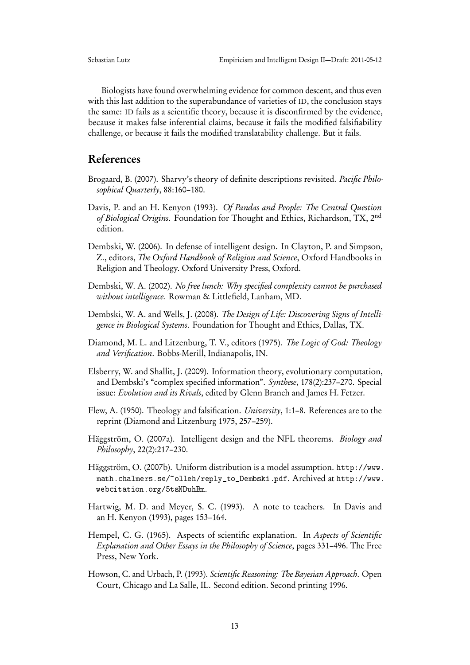Biologists have found overwhelming evidence for common descent, and thus even with this last addition to the superabundance of varieties of ID, the conclusion stays the same: ID fails as a scientific theory, because it is disconfirmed by the evidence, because it makes false inferential claims, because it fails the modified falsifiability challenge, or because it fails the modified translatability challenge. But it fails.

# References

- <span id="page-12-1"></span>Brogaard, B. (2007). Sharvy's theory of definite descriptions revisited. Pacific Philosophical Quarterly, 88:160–180.
- <span id="page-12-11"></span>Davis, P. and an H. Kenyon (1993). Of Pandas and People: The Central Question of Biological Origins. Foundation for Thought and Ethics, Richardson, TX, 2<sup>nd</sup> edition.
- <span id="page-12-2"></span>Dembski, W. (2006). In defense of intelligent design. In Clayton, P. and Simpson, Z., editors, The Oxford Handbook of Religion and Science, Oxford Handbooks in Religion and Theology. Oxford University Press, Oxford.
- <span id="page-12-8"></span>Dembski, W. A. (2002). No free lunch: Why specified complexity cannot be purchased without intelligence. Rowman & Littlefield, Lanham, MD.
- <span id="page-12-3"></span>Dembski, W. A. and Wells, J. (2008). The Design of Life: Discovering Signs of Intelligence in Biological Systems. Foundation for Thought and Ethics, Dallas, TX.
- <span id="page-12-12"></span>Diamond, M. L. and Litzenburg, T. V., editors (1975). The Logic of God: Theology and Verification. Bobbs-Merill, Indianapolis, IN.
- <span id="page-12-9"></span>Elsberry, W. and Shallit, J. (2009). Information theory, evolutionary computation, and Dembski's "complex specified information". Synthese, 178(2):237–270. Special issue: Evolution and its Rivals, edited by Glenn Branch and James H. Fetzer.
- <span id="page-12-10"></span>Flew, A. (1950). Theology and falsification. University, 1:1–8. References are to the reprint [\(Diamond and Litzenburg](#page-12-12) [1975,](#page-12-12) 257–259).
- <span id="page-12-4"></span>Häggström, O. (2007a). Intelligent design and the NFL theorems. *Biology and* Philosophy, 22(2):217–230.
- <span id="page-12-5"></span>Häggström, O. (2007b). Uniform distribution is a model assumption. [http://www.](http://www.math.chalmers.se/~olleh/reply_to_Dembski.pdf) [math.chalmers.se/~olleh/reply\\_to\\_Dembski.pdf](http://www.math.chalmers.se/~olleh/reply_to_Dembski.pdf). Archived at [http://www.](http://www.webcitation.org/5tsNDuhBm) [webcitation.org/5tsNDuhBm](http://www.webcitation.org/5tsNDuhBm).
- <span id="page-12-0"></span>Hartwig, M. D. and Meyer, S. C. (1993). A note to teachers. In [Davis and](#page-12-11) [an H. Kenyon](#page-12-11) [\(1993\)](#page-12-11), pages 153–164.
- <span id="page-12-6"></span>Hempel, C. G. (1965). Aspects of scientific explanation. In Aspects of Scientific Explanation and Other Essays in the Philosophy of Science, pages 331–496. The Free Press, New York.
- <span id="page-12-7"></span>Howson, C. and Urbach, P. (1993). Scientific Reasoning: The Bayesian Approach. Open Court, Chicago and La Salle, IL. Second edition. Second printing 1996.